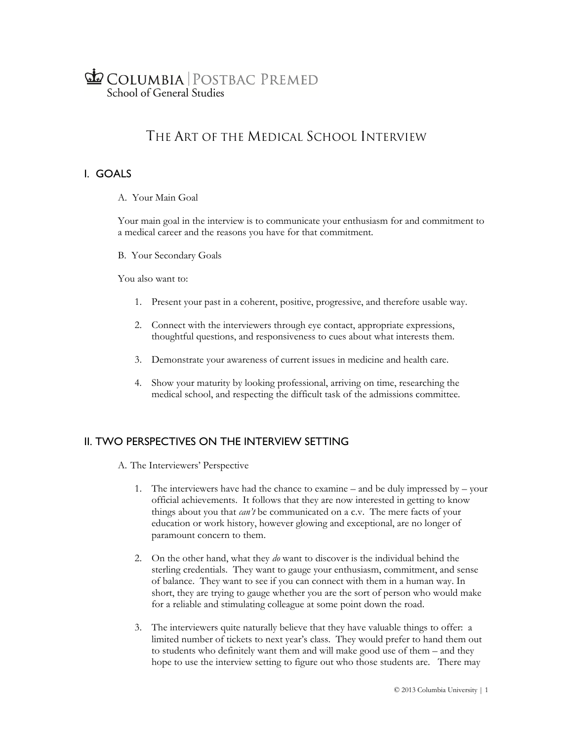# COLUMBIA POSTBAC PREMED **School of General Studies**

## THE ART OF THE MEDICAL SCHOOL INTERVIEW

## I. GOALS

A. Your Main Goal

Your main goal in the interview is to communicate your enthusiasm for and commitment to a medical career and the reasons you have for that commitment.

B. Your Secondary Goals

You also want to:

- 1. Present your past in a coherent, positive, progressive, and therefore usable way.
- 2. Connect with the interviewers through eye contact, appropriate expressions, thoughtful questions, and responsiveness to cues about what interests them.
- 3. Demonstrate your awareness of current issues in medicine and health care.
- 4. Show your maturity by looking professional, arriving on time, researching the medical school, and respecting the difficult task of the admissions committee.

## II. TWO PERSPECTIVES ON THE INTERVIEW SETTING

A. The Interviewers' Perspective

- 1. The interviewers have had the chance to examine and be duly impressed by your official achievements. It follows that they are now interested in getting to know things about you that *can't* be communicated on a c.v. The mere facts of your education or work history, however glowing and exceptional, are no longer of paramount concern to them.
- 2. On the other hand, what they *do* want to discover is the individual behind the sterling credentials. They want to gauge your enthusiasm, commitment, and sense of balance. They want to see if you can connect with them in a human way. In short, they are trying to gauge whether you are the sort of person who would make for a reliable and stimulating colleague at some point down the road.
- 3. The interviewers quite naturally believe that they have valuable things to offer: a limited number of tickets to next year's class. They would prefer to hand them out to students who definitely want them and will make good use of them – and they hope to use the interview setting to figure out who those students are. There may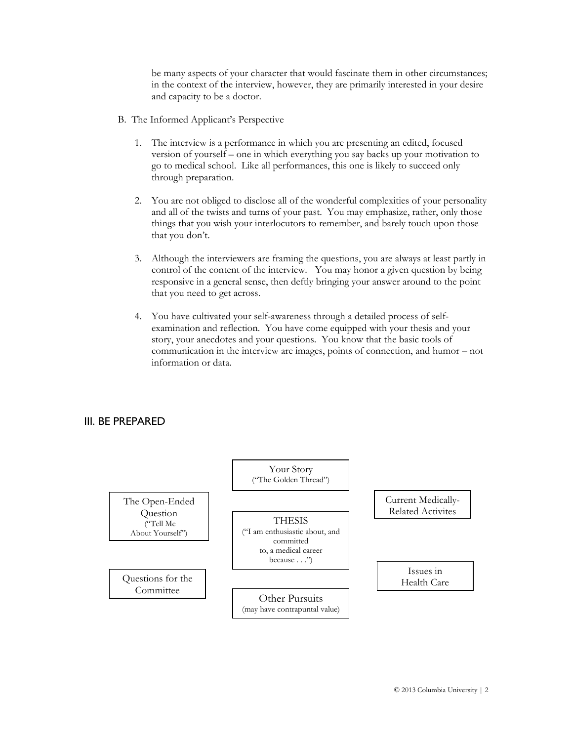be many aspects of your character that would fascinate them in other circumstances; in the context of the interview, however, they are primarily interested in your desire and capacity to be a doctor.

- B. The Informed Applicant's Perspective
	- 1. The interview is a performance in which you are presenting an edited, focused version of yourself – one in which everything you say backs up your motivation to go to medical school. Like all performances, this one is likely to succeed only through preparation.
	- 2. You are not obliged to disclose all of the wonderful complexities of your personality and all of the twists and turns of your past. You may emphasize, rather, only those things that you wish your interlocutors to remember, and barely touch upon those that you don't.
	- 3. Although the interviewers are framing the questions, you are always at least partly in control of the content of the interview. You may honor a given question by being responsive in a general sense, then deftly bringing your answer around to the point that you need to get across.
	- 4. You have cultivated your self-awareness through a detailed process of selfexamination and reflection. You have come equipped with your thesis and your story, your anecdotes and your questions. You know that the basic tools of communication in the interview are images, points of connection, and humor – not information or data.

## III. BE PREPARED

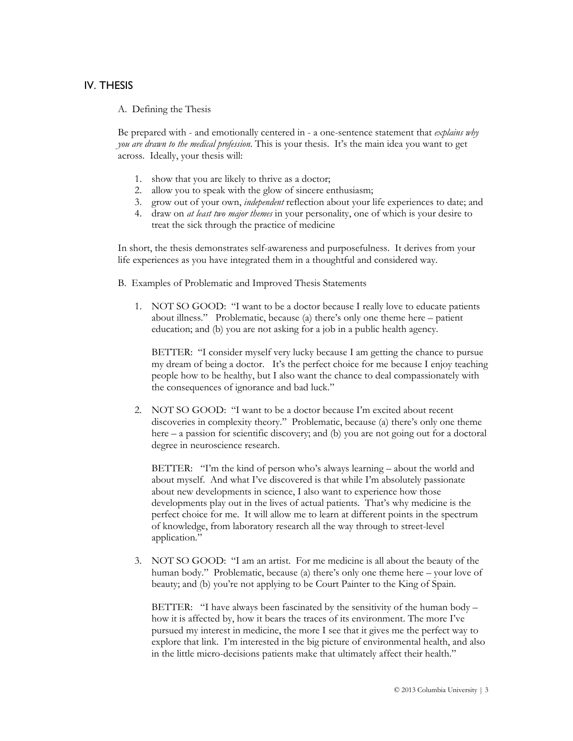## IV. THESIS

A. Defining the Thesis

Be prepared with - and emotionally centered in - a one-sentence statement that *explains why you are drawn to the medical profession*. This is your thesis. It's the main idea you want to get across. Ideally, your thesis will:

- 1. show that you are likely to thrive as a doctor;
- 2. allow you to speak with the glow of sincere enthusiasm;
- 3. grow out of your own, *independent* reflection about your life experiences to date; and
- 4. draw on *at least two major themes* in your personality, one of which is your desire to treat the sick through the practice of medicine

In short, the thesis demonstrates self-awareness and purposefulness. It derives from your life experiences as you have integrated them in a thoughtful and considered way.

- B. Examples of Problematic and Improved Thesis Statements
	- 1. NOT SO GOOD: "I want to be a doctor because I really love to educate patients about illness." Problematic, because (a) there's only one theme here – patient education; and (b) you are not asking for a job in a public health agency.

BETTER: "I consider myself very lucky because I am getting the chance to pursue my dream of being a doctor. It's the perfect choice for me because I enjoy teaching people how to be healthy, but I also want the chance to deal compassionately with the consequences of ignorance and bad luck."

2. NOT SO GOOD: "I want to be a doctor because I'm excited about recent discoveries in complexity theory." Problematic, because (a) there's only one theme here – a passion for scientific discovery; and (b) you are not going out for a doctoral degree in neuroscience research.

BETTER: "I'm the kind of person who's always learning – about the world and about myself. And what I've discovered is that while I'm absolutely passionate about new developments in science, I also want to experience how those developments play out in the lives of actual patients. That's why medicine is the perfect choice for me. It will allow me to learn at different points in the spectrum of knowledge, from laboratory research all the way through to street-level application."

3. NOT SO GOOD: "I am an artist. For me medicine is all about the beauty of the human body." Problematic, because (a) there's only one theme here – your love of beauty; and (b) you're not applying to be Court Painter to the King of Spain.

BETTER: "I have always been fascinated by the sensitivity of the human body – how it is affected by, how it bears the traces of its environment. The more I've pursued my interest in medicine, the more I see that it gives me the perfect way to explore that link. I'm interested in the big picture of environmental health, and also in the little micro-decisions patients make that ultimately affect their health."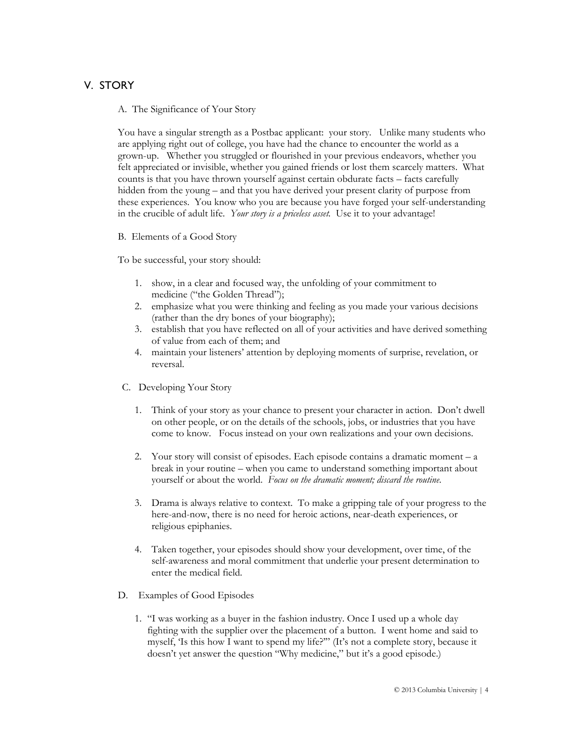## V. STORY

A. The Significance of Your Story

You have a singular strength as a Postbac applicant: your story. Unlike many students who are applying right out of college, you have had the chance to encounter the world as a grown-up. Whether you struggled or flourished in your previous endeavors, whether you felt appreciated or invisible, whether you gained friends or lost them scarcely matters. What counts is that you have thrown yourself against certain obdurate facts – facts carefully hidden from the young – and that you have derived your present clarity of purpose from these experiences. You know who you are because you have forged your self-understanding in the crucible of adult life. *Your story is a priceless asset.* Use it to your advantage!

#### B. Elements of a Good Story

To be successful, your story should:

- 1. show, in a clear and focused way, the unfolding of your commitment to medicine ("the Golden Thread");
- 2. emphasize what you were thinking and feeling as you made your various decisions (rather than the dry bones of your biography);
- 3. establish that you have reflected on all of your activities and have derived something of value from each of them; and
- 4. maintain your listeners' attention by deploying moments of surprise, revelation, or reversal.
- C. Developing Your Story
	- 1. Think of your story as your chance to present your character in action. Don't dwell on other people, or on the details of the schools, jobs, or industries that you have come to know. Focus instead on your own realizations and your own decisions.
	- 2. Your story will consist of episodes. Each episode contains a dramatic moment a break in your routine – when you came to understand something important about yourself or about the world. *Focus on the dramatic moment; discard the routine*.
	- 3. Drama is always relative to context. To make a gripping tale of your progress to the here-and-now, there is no need for heroic actions, near-death experiences, or religious epiphanies.
	- 4. Taken together, your episodes should show your development, over time, of the self-awareness and moral commitment that underlie your present determination to enter the medical field.
- D. Examples of Good Episodes
	- 1. "I was working as a buyer in the fashion industry. Once I used up a whole day fighting with the supplier over the placement of a button. I went home and said to myself, 'Is this how I want to spend my life?'" (It's not a complete story, because it doesn't yet answer the question "Why medicine," but it's a good episode.)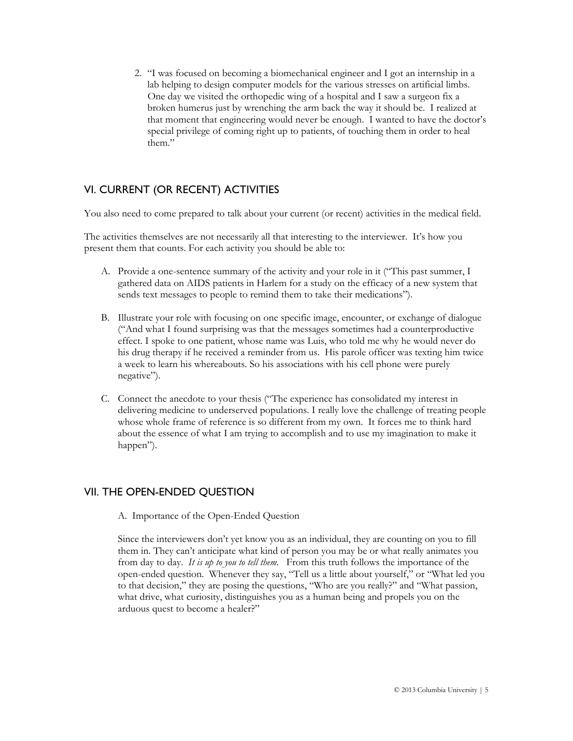2. "I was focused on becoming a biomechanical engineer and I got an internship in a lab helping to design computer models for the various stresses on artificial limbs. One day we visited the orthopedic wing of a hospital and I saw a surgeon fix a broken humerus just by wrenching the arm back the way it should be. I realized at that moment that engineering would never be enough. I wanted to have the doctor's special privilege of coming right up to patients, of touching them in order to heal them."

## VI. CURRENT (OR RECENT) ACTIVITIES

You also need to come prepared to talk about your current (or recent) activities in the medical field.

The activities themselves are not necessarily all that interesting to the interviewer. It's how you present them that counts. For each activity you should be able to:

- A. Provide a one-sentence summary of the activity and your role in it ("This past summer, I gathered data on AIDS patients in Harlem for a study on the efficacy of a new system that sends text messages to people to remind them to take their medications").
- B. Illustrate your role with focusing on one specific image, encounter, or exchange of dialogue ("And what I found surprising was that the messages sometimes had a counterproductive effect. I spoke to one patient, whose name was Luis, who told me why he would never do his drug therapy if he received a reminder from us. His parole officer was texting him twice a week to learn his whereabouts. So his associations with his cell phone were purely negative").
- C. Connect the anecdote to your thesis ("The experience has consolidated my interest in delivering medicine to underserved populations. I really love the challenge of treating people whose whole frame of reference is so different from my own. It forces me to think hard about the essence of what I am trying to accomplish and to use my imagination to make it happen").

## VII. THE OPEN-ENDED QUESTION

A. Importance of the Open-Ended Question

Since the interviewers don't yet know you as an individual, they are counting on you to fill them in. They can't anticipate what kind of person you may be or what really animates you from day to day. *It is up to you to tell them*. From this truth follows the importance of the open-ended question. Whenever they say, "Tell us a little about yourself," or "What led you to that decision," they are posing the questions, "Who are you really?" and "What passion, what drive, what curiosity, distinguishes you as a human being and propels you on the arduous quest to become a healer?"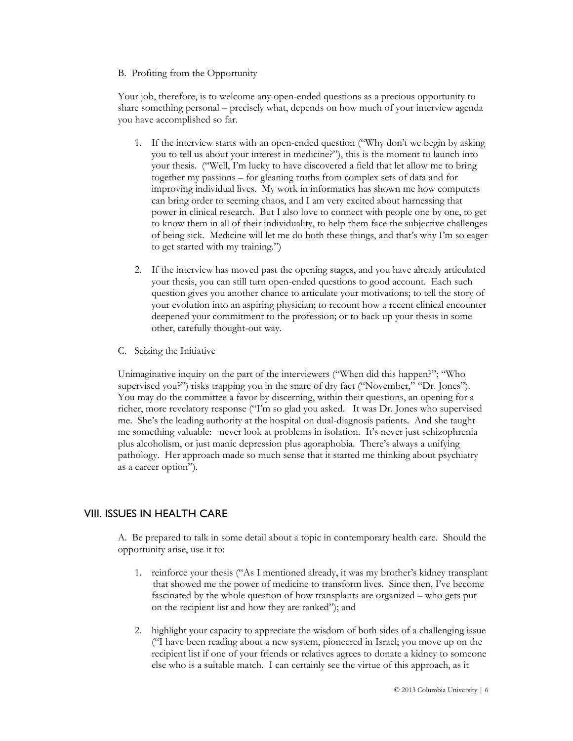#### B. Profiting from the Opportunity

Your job, therefore, is to welcome any open-ended questions as a precious opportunity to share something personal – precisely what, depends on how much of your interview agenda you have accomplished so far.

- 1. If the interview starts with an open-ended question ("Why don't we begin by asking you to tell us about your interest in medicine?"), this is the moment to launch into your thesis. ("Well, I'm lucky to have discovered a field that let allow me to bring together my passions – for gleaning truths from complex sets of data and for improving individual lives. My work in informatics has shown me how computers can bring order to seeming chaos, and I am very excited about harnessing that power in clinical research. But I also love to connect with people one by one, to get to know them in all of their individuality, to help them face the subjective challenges of being sick. Medicine will let me do both these things, and that's why I'm so eager to get started with my training.")
- 2. If the interview has moved past the opening stages, and you have already articulated your thesis, you can still turn open-ended questions to good account. Each such question gives you another chance to articulate your motivations; to tell the story of your evolution into an aspiring physician; to recount how a recent clinical encounter deepened your commitment to the profession; or to back up your thesis in some other, carefully thought-out way.
- C. Seizing the Initiative

Unimaginative inquiry on the part of the interviewers ("When did this happen?"; "Who supervised you?") risks trapping you in the snare of dry fact ("November," "Dr. Jones"). You may do the committee a favor by discerning, within their questions, an opening for a richer, more revelatory response ("I'm so glad you asked. It was Dr. Jones who supervised me. She's the leading authority at the hospital on dual-diagnosis patients. And she taught me something valuable: never look at problems in isolation. It's never just schizophrenia plus alcoholism, or just manic depression plus agoraphobia. There's always a unifying pathology. Her approach made so much sense that it started me thinking about psychiatry as a career option").

## VIII. ISSUES IN HEALTH CARE

A. Be prepared to talk in some detail about a topic in contemporary health care. Should the opportunity arise, use it to:

- 1. reinforce your thesis ("As I mentioned already, it was my brother's kidney transplant that showed me the power of medicine to transform lives. Since then, I've become fascinated by the whole question of how transplants are organized – who gets put on the recipient list and how they are ranked"); and
- 2. highlight your capacity to appreciate the wisdom of both sides of a challenging issue ("I have been reading about a new system, pioneered in Israel; you move up on the recipient list if one of your friends or relatives agrees to donate a kidney to someone else who is a suitable match. I can certainly see the virtue of this approach, as it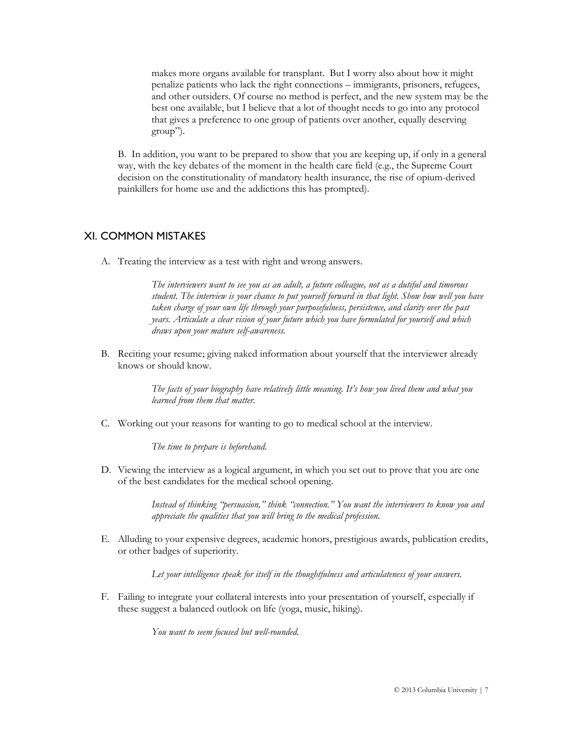makes more organs available for transplant. But I worry also about how it might penalize patients who lack the right connections – immigrants, prisoners, refugees, and other outsiders. Of course no method is perfect, and the new system may be the best one available, but I believe that a lot of thought needs to go into any protocol that gives a preference to one group of patients over another, equally deserving group").

B. In addition, you want to be prepared to show that you are keeping up, if only in a general way, with the key debates of the moment in the health care field (e.g., the Supreme Court decision on the constitutionality of mandatory health insurance, the rise of opium-derived painkillers for home use and the addictions this has prompted).

## XI. COMMON MISTAKES

A. Treating the interview as a test with right and wrong answers.

*The interviewers want to see you as an adult, a future colleague, not as a dutiful and timorous student. The interview is your chance to put yourself forward in that light. Show how well you have taken charge of your own life through your purposefulness, persistence, and clarity over the past years. Articulate a clear vision of your future which you have formulated for yourself and which draws upon your mature self-awareness.* 

B. Reciting your resume; giving naked information about yourself that the interviewer already knows or should know.

> *The facts of your biography have relatively little meaning. It's how you lived them and what you learned from them that matter.*

C. Working out your reasons for wanting to go to medical school at the interview.

*The time to prepare is beforehand.*

D. Viewing the interview as a logical argument, in which you set out to prove that you are one of the best candidates for the medical school opening.

> *Instead of thinking "persuasion," think "connection." You want the interviewers to know you and appreciate the qualities that you will bring to the medical profession.*

E. Alluding to your expensive degrees, academic honors, prestigious awards, publication credits, or other badges of superiority.

*Let your intelligence speak for itself in the thoughtfulness and articulateness of your answers.*

F. Failing to integrate your collateral interests into your presentation of yourself, especially if these suggest a balanced outlook on life (yoga, music, hiking).

*You want to seem focused but well-rounded.*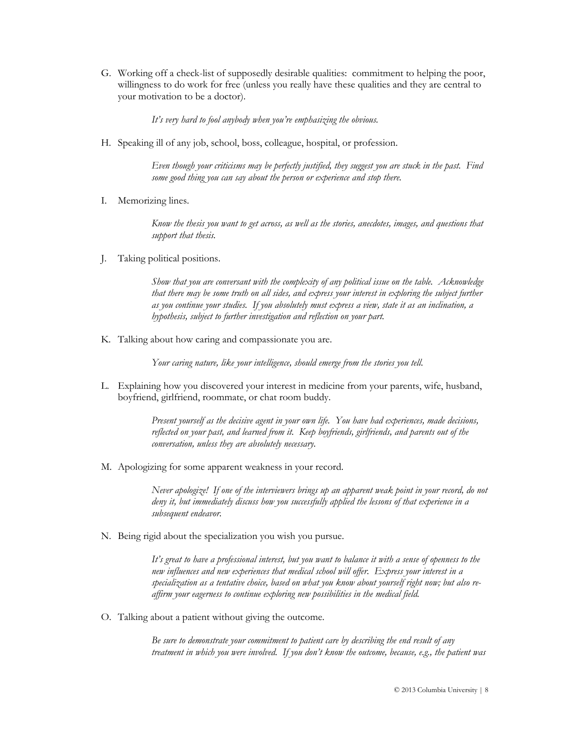G. Working off a check-list of supposedly desirable qualities: commitment to helping the poor, willingness to do work for free (unless you really have these qualities and they are central to your motivation to be a doctor).

*It's very hard to fool anybody when you're emphasizing the obvious.* 

H. Speaking ill of any job, school, boss, colleague, hospital, or profession.

*Even though your criticisms may be perfectly justified, they suggest you are stuck in the past. Find some good thing you can say about the person or experience and stop there.* 

I. Memorizing lines.

*Know the thesis you want to get across, as well as the stories, anecdotes, images, and questions that support that thesis.* 

J. Taking political positions.

*Show that you are conversant with the complexity of any political issue on the table. Acknowledge*  that there may be some truth on all sides, and express your interest in exploring the subject further *as you continue your studies. If you absolutely must express a view, state it as an inclination, a hypothesis, subject to further investigation and reflection on your part.* 

K. Talking about how caring and compassionate you are.

*Your caring nature, like your intelligence, should emerge from the stories you tell.* 

L. Explaining how you discovered your interest in medicine from your parents, wife, husband, boyfriend, girlfriend, roommate, or chat room buddy.

> *Present yourself as the decisive agent in your own life. You have had experiences, made decisions, reflected on your past, and learned from it. Keep boyfriends, girlfriends, and parents out of the conversation, unless they are absolutely necessary.*

M. Apologizing for some apparent weakness in your record.

*Never apologize! If one of the interviewers brings up an apparent weak point in your record, do not deny it, but immediately discuss how you successfully applied the lessons of that experience in a subsequent endeavor.* 

N. Being rigid about the specialization you wish you pursue.

*It's great to have a professional interest, but you want to balance it with a sense of openness to the new influences and new experiences that medical school will offer. Express your interest in a specialization as a tentative choice, based on what you know about yourself right now; but also reaffirm your eagerness to continue exploring new possibilities in the medical field.* 

O. Talking about a patient without giving the outcome.

*Be sure to demonstrate your commitment to patient care by describing the end result of any treatment in which you were involved. If you don't know the outcome, because, e.g., the patient was*